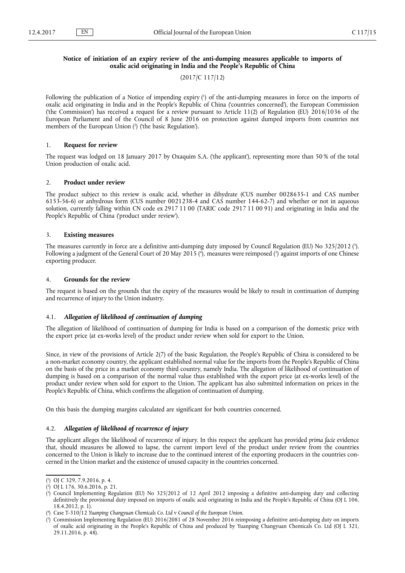# **Notice of initiation of an expiry review of the anti-dumping measures applicable to imports of oxalic acid originating in India and the People's Republic of China**

# (2017/C 117/12)

Following the publication of a Notice of impending expiry ( 1 ) of the anti-dumping measures in force on the imports of oxalic acid originating in India and in the People's Republic of China ('countries concerned'), the European Commission ('the Commission') has received a request for a review pursuant to Article 11(2) of Regulation (EU) 2016/1036 of the European Parliament and of the Council of 8 June 2016 on protection against dumped imports from countries not members of the European Union ( 2 ) ('the basic Regulation').

# 1. **Request for review**

The request was lodged on 18 January 2017 by Oxaquim S.A. ('the applicant'), representing more than 50 % of the total Union production of oxalic acid.

### 2. **Product under review**

The product subject to this review is oxalic acid, whether in dihydrate (CUS number 0028635-1 and CAS number 6153-56-6) or anhydrous form (CUS number 0021238-4 and CAS number 144-62-7) and whether or not in aqueous solution, currently falling within CN code ex 2917 11 00 (TARIC code 2917 11 00 91) and originating in India and the People's Republic of China ('product under review').

### 3. **Existing measures**

The measures currently in force are a definitive anti-dumping duty imposed by Council Regulation (EU) No 325/2012 (<sup>3</sup>). Following a judgment of the General Court of 20 May 2015 ( 4 ), measures were reimposed ( 5 ) against imports of one Chinese exporting producer.

# 4. **Grounds for the review**

The request is based on the grounds that the expiry of the measures would be likely to result in continuation of dumping and recurrence of injury to the Union industry.

# 4.1. *Allegation of likelihood of continuation of dumping*

The allegation of likelihood of continuation of dumping for India is based on a comparison of the domestic price with the export price (at ex-works level) of the product under review when sold for export to the Union.

Since, in view of the provisions of Article 2(7) of the basic Regulation, the People's Republic of China is considered to be a non-market economy country, the applicant established normal value for the imports from the People's Republic of China on the basis of the price in a market economy third country, namely India. The allegation of likelihood of continuation of dumping is based on a comparison of the normal value thus established with the export price (at ex-works level) of the product under review when sold for export to the Union. The applicant has also submitted information on prices in the People's Republic of China, which confirms the allegation of continuation of dumping.

On this basis the dumping margins calculated are significant for both countries concerned.

# 4.2. *Allegation of likelihood of recurrence of injury*

The applicant alleges the likelihood of recurrence of injury. In this respect the applicant has provided *prima facie* evidence that, should measures be allowed to lapse, the current import level of the product under review from the countries concerned to the Union is likely to increase due to the continued interest of the exporting producers in the countries concerned in the Union market and the existence of unused capacity in the countries concerned.

<sup>(</sup> 1 ) OJ C 329, 7.9.2016, p. 4.

<sup>(</sup> 2 ) OJ L 176, 30.6.2016, p. 21.

<sup>(</sup> 3 ) Council Implementing Regulation (EU) No 325/2012 of 12 April 2012 imposing a definitive anti-dumping duty and collecting definitively the provisional duty imposed on imports of oxalic acid originating in India and the People's Republic of China (OJ L 106, 18.4.2012, p. 1).

<sup>(</sup> 4 ) Case T-310/12 *Yuanping Changyuan Chemicals Co. Ltd* v *Council of the European Union*.

<sup>(</sup> 5 ) Commission Implementing Regulation (EU) 2016/2081 of 28 November 2016 reimposing a definitive anti-dumping duty on imports of oxalic acid originating in the People's Republic of China and produced by Yuanping Changyuan Chemicals Co. Ltd (OJ L 321, 29.11.2016, p. 48).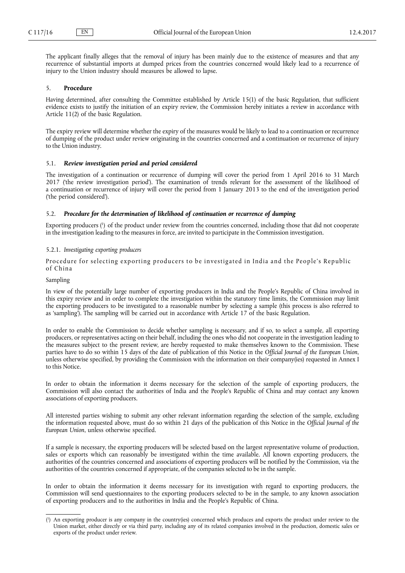The applicant finally alleges that the removal of injury has been mainly due to the existence of measures and that any recurrence of substantial imports at dumped prices from the countries concerned would likely lead to a recurrence of injury to the Union industry should measures be allowed to lapse.

# 5. **Procedure**

Having determined, after consulting the Committee established by Article 15(1) of the basic Regulation, that sufficient evidence exists to justify the initiation of an expiry review, the Commission hereby initiates a review in accordance with Article 11(2) of the basic Regulation.

The expiry review will determine whether the expiry of the measures would be likely to lead to a continuation or recurrence of dumping of the product under review originating in the countries concerned and a continuation or recurrence of injury to the Union industry.

# 5.1. *Review investigation period and period considered*

The investigation of a continuation or recurrence of dumping will cover the period from 1 April 2016 to 31 March 2017 ('the review investigation period'). The examination of trends relevant for the assessment of the likelihood of a continuation or recurrence of injury will cover the period from 1 January 2013 to the end of the investigation period ('the period considered').

### 5.2. *Procedure for the determination of likelihood of continuation or recurrence of dumping*

Exporting producers (<sup>1</sup>) of the product under review from the countries concerned, including those that did not cooperate in the investigation leading to the measures in force, are invited to participate in the Commission investigation.

# 5.2.1. *Investigating exporting producers*

Procedure for selecting exporting producers to be investigated in India and the People's Republic of China

# Sampling

In view of the potentially large number of exporting producers in India and the People's Republic of China involved in this expiry review and in order to complete the investigation within the statutory time limits, the Commission may limit the exporting producers to be investigated to a reasonable number by selecting a sample (this process is also referred to as 'sampling'). The sampling will be carried out in accordance with Article 17 of the basic Regulation.

In order to enable the Commission to decide whether sampling is necessary, and if so, to select a sample, all exporting producers, or representatives acting on their behalf, including the ones who did not cooperate in the investigation leading to the measures subject to the present review, are hereby requested to make themselves known to the Commission. These parties have to do so within 15 days of the date of publication of this Notice in the *Official Journal of the European Union*, unless otherwise specified, by providing the Commission with the information on their company(ies) requested in Annex I to this Notice.

In order to obtain the information it deems necessary for the selection of the sample of exporting producers, the Commission will also contact the authorities of India and the People's Republic of China and may contact any known associations of exporting producers.

All interested parties wishing to submit any other relevant information regarding the selection of the sample, excluding the information requested above, must do so within 21 days of the publication of this Notice in the *Official Journal of the European Union*, unless otherwise specified.

If a sample is necessary, the exporting producers will be selected based on the largest representative volume of production, sales or exports which can reasonably be investigated within the time available. All known exporting producers, the authorities of the countries concerned and associations of exporting producers will be notified by the Commission, via the authorities of the countries concerned if appropriate, of the companies selected to be in the sample.

In order to obtain the information it deems necessary for its investigation with regard to exporting producers, the Commission will send questionnaires to the exporting producers selected to be in the sample, to any known association of exporting producers and to the authorities in India and the People's Republic of China.

<sup>(</sup> 1 ) An exporting producer is any company in the country(ies) concerned which produces and exports the product under review to the Union market, either directly or via third party, including any of its related companies involved in the production, domestic sales or exports of the product under review.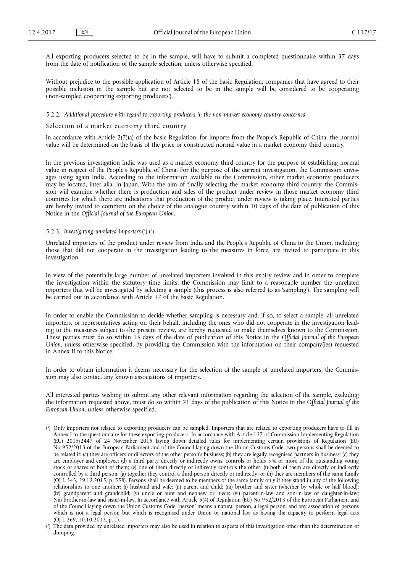All exporting producers selected to be in the sample, will have to submit a completed questionnaire within 37 days from the date of notification of the sample selection, unless otherwise specified.

Without prejudice to the possible application of Article 18 of the basic Regulation, companies that have agreed to their possible inclusion in the sample but are not selected to be in the sample will be considered to be cooperating ('non-sampled cooperating exporting producers').

## 5.2.2. *Additional procedure with regard to exporting producers in the non-market economy country concerned*

# Selection of a market economy third country

In accordance with Article 2(7)(a) of the basic Regulation, for imports from the People's Republic of China, the normal value will be determined on the basis of the price or constructed normal value in a market economy third country.

In the previous investigation India was used as a market economy third country for the purpose of establishing normal value in respect of the People's Republic of China. For the purpose of the current investigation, the Commission envisages using again India. According to the information available to the Commission, other market economy producers may be located, inter alia, in Japan. With the aim of finally selecting the market economy third country, the Commission will examine whether there is production and sales of the product under review in those market economy third countries for which there are indications that production of the product under review is taking place. Interested parties are hereby invited to comment on the choice of the analogue country within 10 days of the date of publication of this Notice in the *Official Journal of the European Union*.

#### 5.2.3. Investigating unrelated importers (1) (2)

Unrelated importers of the product under review from India and the People's Republic of China to the Union, including those that did not cooperate in the investigation leading to the measures in force, are invited to participate in this investigation.

In view of the potentially large number of unrelated importers involved in this expiry review and in order to complete the investigation within the statutory time limits, the Commission may limit to a reasonable number the unrelated importers that will be investigated by selecting a sample (this process is also referred to as 'sampling'). The sampling will be carried out in accordance with Article 17 of the basic Regulation.

In order to enable the Commission to decide whether sampling is necessary and, if so, to select a sample, all unrelated importers, or representatives acting on their behalf, including the ones who did not cooperate in the investigation leading to the measures subject to the present review, are hereby requested to make themselves known to the Commission. These parties must do so within 15 days of the date of publication of this Notice in the *Official Journal of the European Union*, unless otherwise specified, by providing the Commission with the information on their company(ies) requested in Annex II to this Notice.

In order to obtain information it deems necessary for the selection of the sample of unrelated importers, the Commission may also contact any known associations of importers.

All interested parties wishing to submit any other relevant information regarding the selection of the sample, excluding the information requested above, must do so within 21 days of the publication of this Notice in the *Official Journal of the European Union*, unless otherwise specified.

<sup>(</sup> 1 ) Only importers not related to exporting producers can be sampled. Importers that are related to exporting producers have to fill in Annex I to the questionnaire for these exporting producers. In accordance with Article 127 of Commission Implementing Regulation (EU) 2015/2447 of 24 November 2015 laying down detailed rules for implementing certain provisions of Regulation (EU) No 952/2013 of the European Parliament and of the Council laying down the Union Customs Code, two persons shall be deemed to be related if: (a) they are officers or directors of the other person's business; (b) they are legally recognised partners in business; (c) they are employer and employee; (d) a third party directly or indirectly owns, controls or holds 5% or more of the outstanding voting stock or shares of both of them; (e) one of them directly or indirectly controls the other; (f) both of them are directly or indirectly controlled by a third person; (g) together they control a third person directly or indirectly; or (h) they are members of the same family (OJ L 343, 29.12.2015, p. 558). Persons shall be deemed to be members of the same family only if they stand in any of the following relationships to one another: (i) husband and wife; (ii) parent and child; (iii) brother and sister (whether by whole or half blood); (iv) grandparent and grandchild; (v) uncle or aunt and nephew or niece; (vi) parent-in-law and son-in-law or daughter-in-law; (vii) brother-in-law and sister-in-law. In accordance with Article 5(4) of Regulation (EU) No 952/2013 of the European Parliament and of the Council laying down the Union Customs Code, 'person' means a natural person, a legal person, and any association of persons which is not a legal person but which is recognised under Union or national law as having the capacity to perform legal acts (OJ L 269, 10.10.2013, p. 1).

<sup>(</sup> 2 ) The data provided by unrelated importers may also be used in relation to aspects of this investigation other than the determination of dumping.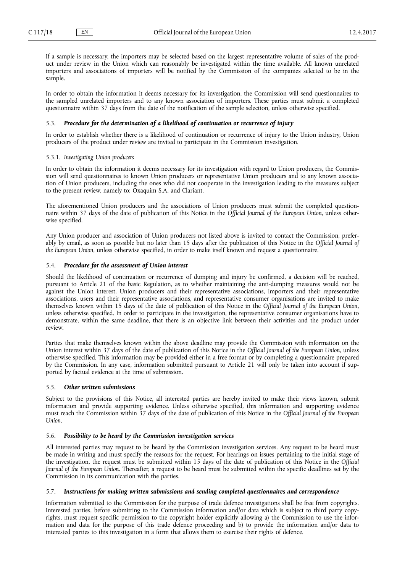If a sample is necessary, the importers may be selected based on the largest representative volume of sales of the product under review in the Union which can reasonably be investigated within the time available. All known unrelated importers and associations of importers will be notified by the Commission of the companies selected to be in the sample.

In order to obtain the information it deems necessary for its investigation, the Commission will send questionnaires to the sampled unrelated importers and to any known association of importers. These parties must submit a completed questionnaire within 37 days from the date of the notification of the sample selection, unless otherwise specified.

# 5.3. *Procedure for the determination of a likelihood of continuation or recurrence of injury*

In order to establish whether there is a likelihood of continuation or recurrence of injury to the Union industry, Union producers of the product under review are invited to participate in the Commission investigation.

### 5.3.1. *Investigating Union producers*

In order to obtain the information it deems necessary for its investigation with regard to Union producers, the Commission will send questionnaires to known Union producers or representative Union producers and to any known association of Union producers, including the ones who did not cooperate in the investigation leading to the measures subject to the present review, namely to: Oxaquim S.A. and Clariant.

The aforementioned Union producers and the associations of Union producers must submit the completed questionnaire within 37 days of the date of publication of this Notice in the *Official Journal of the European Union*, unless otherwise specified.

Any Union producer and association of Union producers not listed above is invited to contact the Commission, preferably by email, as soon as possible but no later than 15 days after the publication of this Notice in the *Official Journal of the European Union*, unless otherwise specified, in order to make itself known and request a questionnaire.

# 5.4. *Procedure for the assessment of Union interest*

Should the likelihood of continuation or recurrence of dumping and injury be confirmed, a decision will be reached, pursuant to Article 21 of the basic Regulation, as to whether maintaining the anti-dumping measures would not be against the Union interest. Union producers and their representative associations, importers and their representative associations, users and their representative associations, and representative consumer organisations are invited to make themselves known within 15 days of the date of publication of this Notice in the *Official Journal of the European Union*, unless otherwise specified. In order to participate in the investigation, the representative consumer organisations have to demonstrate, within the same deadline, that there is an objective link between their activities and the product under review.

Parties that make themselves known within the above deadline may provide the Commission with information on the Union interest within 37 days of the date of publication of this Notice in the *Official Journal of the European Union*, unless otherwise specified. This information may be provided either in a free format or by completing a questionnaire prepared by the Commission. In any case, information submitted pursuant to Article 21 will only be taken into account if supported by factual evidence at the time of submission.

## 5.5. *Other written submissions*

Subject to the provisions of this Notice, all interested parties are hereby invited to make their views known, submit information and provide supporting evidence. Unless otherwise specified, this information and supporting evidence must reach the Commission within 37 days of the date of publication of this Notice in the *Official Journal of the European Union*.

# 5.6. *Possibility to be heard by the Commission investigation services*

All interested parties may request to be heard by the Commission investigation services. Any request to be heard must be made in writing and must specify the reasons for the request. For hearings on issues pertaining to the initial stage of the investigation, the request must be submitted within 15 days of the date of publication of this Notice in the *Official Journal of the European Union.* Thereafter, a request to be heard must be submitted within the specific deadlines set by the Commission in its communication with the parties.

## 5.7. *Instructions for making written submissions and sending completed questionnaires and correspondence*

Information submitted to the Commission for the purpose of trade defence investigations shall be free from copyrights. Interested parties, before submitting to the Commission information and/or data which is subject to third party copyrights, must request specific permission to the copyright holder explicitly allowing a) the Commission to use the information and data for the purpose of this trade defence proceeding and b) to provide the information and/or data to interested parties to this investigation in a form that allows them to exercise their rights of defence.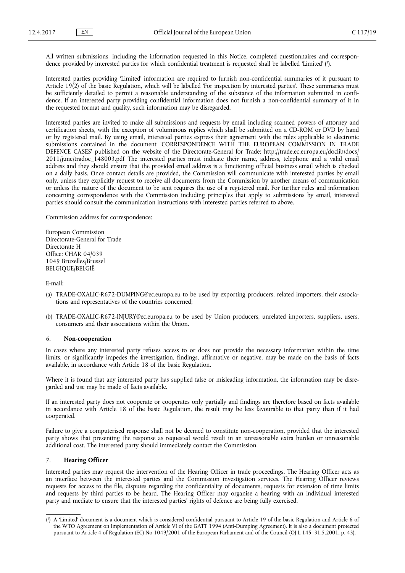All written submissions, including the information requested in this Notice, completed questionnaires and correspondence provided by interested parties for which confidential treatment is requested shall be labelled 'Limited' ( 1 ).

Interested parties providing 'Limited' information are required to furnish non-confidential summaries of it pursuant to Article 19(2) of the basic Regulation, which will be labelled 'For inspection by interested parties'. These summaries must be sufficiently detailed to permit a reasonable understanding of the substance of the information submitted in confidence. If an interested party providing confidential information does not furnish a non-confidential summary of it in the requested format and quality, such information may be disregarded.

Interested parties are invited to make all submissions and requests by email including scanned powers of attorney and certification sheets, with the exception of voluminous replies which shall be submitted on a CD-ROM or DVD by hand or by registered mail. By using email, interested parties express their agreement with the rules applicable to electronic submissions contained in the document 'CORRESPONDENCE WITH THE EUROPEAN COMMISSION IN TRADE DEFENCE CASES' published on the website of the Directorate-General for Trade: [http://trade.ec.europa.eu/doclib/docs/](http://trade.ec.europa.eu/doclib/docs/2011/june/tradoc_148003.pdf) 2011/june/tradoc<sup>148003.pdf</sup> The interested parties must indicate their name, address, telephone and a valid email address and they should ensure that the provided email address is a functioning official business email which is checked on a daily basis. Once contact details are provided, the Commission will communicate with interested parties by email only, unless they explicitly request to receive all documents from the Commission by another means of communication or unless the nature of the document to be sent requires the use of a registered mail. For further rules and information concerning correspondence with the Commission including principles that apply to submissions by email, interested parties should consult the communication instructions with interested parties referred to above.

Commission address for correspondence:

European Commission Directorate-General for Trade Directorate H Office: CHAR 04/039 1049 Bruxelles/Brussel BELGIQUE/BELGIË

E-mail:

- (a) [TRADE-OXALIC-R672-DUMPING@ec.europa.eu](mailto:TRADE-OXALIC-R672-DUMPING@ec.europa.eu) to be used by exporting producers, related importers, their associations and representatives of the countries concerned;
- (b) [TRADE-OXALIC-R672-INJURY@ec.europa.eu](mailto:TRADE-OXALIC-R672-INJURY@ec.europa.eu) to be used by Union producers, unrelated importers, suppliers, users, consumers and their associations within the Union.

# 6. **Non-cooperation**

In cases where any interested party refuses access to or does not provide the necessary information within the time limits, or significantly impedes the investigation, findings, affirmative or negative, may be made on the basis of facts available, in accordance with Article 18 of the basic Regulation.

Where it is found that any interested party has supplied false or misleading information, the information may be disregarded and use may be made of facts available.

If an interested party does not cooperate or cooperates only partially and findings are therefore based on facts available in accordance with Article 18 of the basic Regulation, the result may be less favourable to that party than if it had cooperated.

Failure to give a computerised response shall not be deemed to constitute non-cooperation, provided that the interested party shows that presenting the response as requested would result in an unreasonable extra burden or unreasonable additional cost. The interested party should immediately contact the Commission.

# 7. **Hearing Officer**

Interested parties may request the intervention of the Hearing Officer in trade proceedings. The Hearing Officer acts as an interface between the interested parties and the Commission investigation services. The Hearing Officer reviews requests for access to the file, disputes regarding the confidentiality of documents, requests for extension of time limits and requests by third parties to be heard. The Hearing Officer may organise a hearing with an individual interested party and mediate to ensure that the interested parties' rights of defence are being fully exercised.

<sup>(</sup> 1 ) A 'Limited' document is a document which is considered confidential pursuant to Article 19 of the basic Regulation and Article 6 of the WTO Agreement on Implementation of Article VI of the GATT 1994 (Anti-Dumping Agreement). It is also a document protected pursuant to Article 4 of Regulation (EC) No 1049/2001 of the European Parliament and of the Council (OJ L 145, 31.5.2001, p. 43).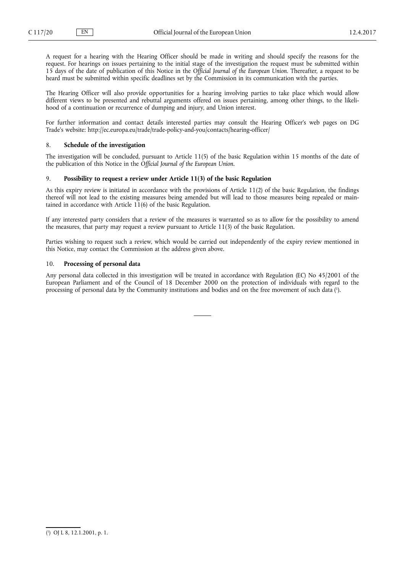A request for a hearing with the Hearing Officer should be made in writing and should specify the reasons for the request. For hearings on issues pertaining to the initial stage of the investigation the request must be submitted within 15 days of the date of publication of this Notice in the *Official Journal of the European Union*. Thereafter, a request to be heard must be submitted within specific deadlines set by the Commission in its communication with the parties.

The Hearing Officer will also provide opportunities for a hearing involving parties to take place which would allow different views to be presented and rebuttal arguments offered on issues pertaining, among other things, to the likelihood of a continuation or recurrence of dumping and injury, and Union interest.

For further information and contact details interested parties may consult the Hearing Officer's web pages on DG Trade's website: <http://ec.europa.eu/trade/trade-policy-and-you/contacts/hearing-officer/>

# 8. **Schedule of the investigation**

The investigation will be concluded, pursuant to Article 11(5) of the basic Regulation within 15 months of the date of the publication of this Notice in the *Official Journal of the European Union*.

### 9. **Possibility to request a review under Article 11(3) of the basic Regulation**

As this expiry review is initiated in accordance with the provisions of Article 11(2) of the basic Regulation, the findings thereof will not lead to the existing measures being amended but will lead to those measures being repealed or maintained in accordance with Article  $11(6)$  of the basic Regulation.

If any interested party considers that a review of the measures is warranted so as to allow for the possibility to amend the measures, that party may request a review pursuant to Article 11(3) of the basic Regulation.

Parties wishing to request such a review, which would be carried out independently of the expiry review mentioned in this Notice, may contact the Commission at the address given above.

# 10. **Processing of personal data**

Any personal data collected in this investigation will be treated in accordance with Regulation (EC) No 45/2001 of the European Parliament and of the Council of 18 December 2000 on the protection of individuals with regard to the processing of personal data by the Community institutions and bodies and on the free movement of such data ( 1 ).

<sup>(</sup> 1 ) OJ L 8, 12.1.2001, p. 1.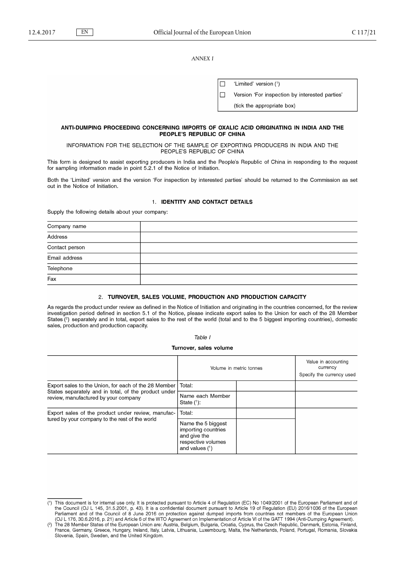*ANNEX I*

'Limited' version (1) г  $\Box$ Version 'For inspection by interested parties'

(tick the appropriate box)

# ANTI-DUMPING PROCEEDING CONCERNING IMPORTS OF OXALIC ACID ORIGINATING IN INDIA AND THE PEOPLE'S REPUBLIC OF CHINA

### INFORMATION FOR THE SELECTION OF THE SAMPLE OF EXPORTING PRODUCERS IN INDIA AND THE PEOPLE'S REPUBLIC OF CHINA

This form is designed to assist exporting producers in India and the People's Republic of China in responding to the request for sampling information made in point 5.2.1 of the Notice of Initiation.

Both the 'Limited' version and the version 'For inspection by interested parties' should be returned to the Commission as set out in the Notice of Initiation.

# 1. IDENTITY AND CONTACT DETAILS

Supply the following details about your company:

| Company name   |  |
|----------------|--|
| Address        |  |
| Contact person |  |
| Email address  |  |
| Telephone      |  |
| Fax            |  |

### 2. TURNOVER, SALES VOLUME, PRODUCTION AND PRODUCTION CAPACITY

As regards the product under review as defined in the Notice of Initiation and originating in the countries concerned, for the review investigation period defined in section 5.1 of the Notice, please indicate export sales to the Union for each of the 28 Member States (<sup>2</sup>) separately and in total, export sales to the rest of the world (total and to the 5 biggest importing countries), domestic sales, production and production capacity.

### Table I

#### Turnover, sales volume

|                                                                                                                                                      |                                                                                                     | Volume in metric tonnes | Value in accounting<br>currency<br>Specify the currency used |
|------------------------------------------------------------------------------------------------------------------------------------------------------|-----------------------------------------------------------------------------------------------------|-------------------------|--------------------------------------------------------------|
| Export sales to the Union, for each of the 28 Member<br>States separately and in total, of the product under<br>review, manufactured by your company | Total:                                                                                              |                         |                                                              |
|                                                                                                                                                      | Name each Member<br>State $(1)$ :                                                                   |                         |                                                              |
| Export sales of the product under review, manufac-                                                                                                   | Total:                                                                                              |                         |                                                              |
| tured by your company to the rest of the world                                                                                                       | Name the 5 biggest<br>importing countries<br>and give the<br>respective volumes<br>and values $(1)$ |                         |                                                              |

<sup>(1)</sup> This document is for internal use only. It is protected pursuant to Article 4 of Regulation (EC) No 1049/2001 of the European Parliament and of the Council (OJ L 145, 31.5.2001, p. 43). It is a confidential document pursuant to Article 19 of Regulation (EU) 2016/1036 of the European Parliament and of the Council of 8 June 2016 on protection against dumped imports from countries not members of the European Union<br>(OJ L 176, 30.6.2016, p. 21) and Article 6 of the WTO Agreement on Implementation of Articl

The 28 Member States of the European Union are: Austria, Belgium, Bulgaria, Croatia, Cyprus, the Czech Republic, Denmark, Estonia, Finland, The 28 Member States of the European Union are: Austria, Belgium, Bulgaria, Croati  $(2)$ Slovenia, Spain, Sweden, and the United Kingdom.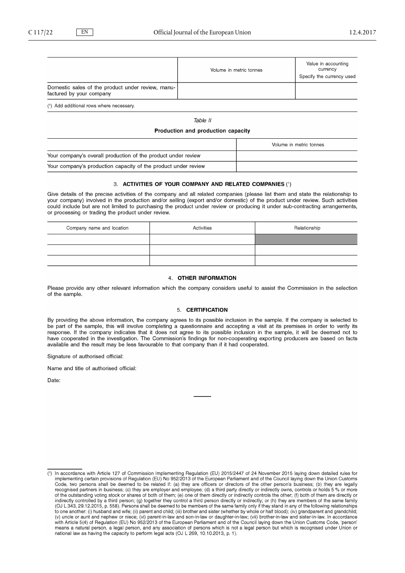|                                                                               | Volume in metric tonnes | Value in accounting<br>currency<br>Specify the currency used |
|-------------------------------------------------------------------------------|-------------------------|--------------------------------------------------------------|
| Domestic sales of the product under review, manu-<br>factured by your company |                         |                                                              |
| (1) Add additional rows where necessary.                                      |                         |                                                              |

Table II

### Production and production capacity

|                                                                | Volume in metric tonnes |
|----------------------------------------------------------------|-------------------------|
| Your company's overall production of the product under review  |                         |
| Your company's production capacity of the product under review |                         |

## 3. ACTIVITIES OF YOUR COMPANY AND RELATED COMPANIES (1)

Give details of the precise activities of the company and all related companies (please list them and state the relationship to your company) involved in the production and/or selling (export and/or domestic) of the product under review. Such activities could include but are not limited to purchasing the product under review or producing it under sub-contracting arrangements, or processing or trading the product under review.

| Company name and location | Activities | Relationship |
|---------------------------|------------|--------------|
|                           |            |              |
|                           |            |              |
|                           |            |              |

#### 4. OTHER INFORMATION

Please provide any other relevant information which the company considers useful to assist the Commission in the selection of the sample.

### 5. CERTIFICATION

By providing the above information, the company agrees to its possible inclusion in the sample. If the company is selected to be part of the sample, this will involve completing a questionnaire and accepting a visit at its premises in order to verify its response. If the company indicates that it does not agree to its possible inclusion in the sample, it will be deemed not to have cooperated in the investigation. The Commission's findings for non-cooperating exporting producers are based on facts available and the result may be less favourable to that company than if it had cooperated.

Signature of authorised official:

Name and title of authorised official:

Date:

<sup>(1)</sup> In accordance with Article 127 of Commission Implementing Regulation (EU) 2015/2447 of 24 November 2015 laying down detailed rules for implementing certain provisions of Regulation (EU) No 952/2013 of the European Parliament and of the Council laying down the Union Customs Code, two persons shall be deemed to be related if: (a) they are officers or directors of the other person's business; (b) they are legally recognised partners in business; (c) they are employer and employee; (d) a third p indirectly controlled by a third person; (g) together they control a third person directly or indirectly; or (h) they are members of the same family (OJ L 343, 29.12.2015, p. 558). Persons shall be deemed to be members of the same family only if they stand in any of the following relationships to one another: (i) husband and wife; (ii) parent and child; (iii) brother and sister (whether by whole or half blood); (iv) grandparent and grandchild; (v) uncle or aunt and nephew or niece; (vi) parent-in-law and son-in-law or daughter-in-law; (vii) brother-in-law and sister-in-law. In accordance<br>with Article 5(4) of Regulation (EU) No 952/2013 of the European Parliament with Article 5(4) of Hegulation (EU) No 952/2013 of the European Panlament and of the Council laying down the Union Customs Code, person<br>means a natural person, a legal person, and any association of persons which is not a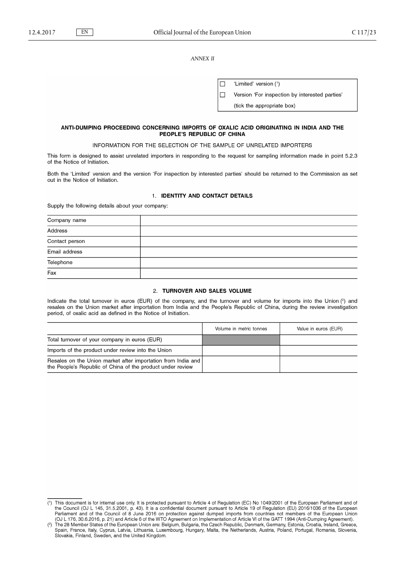*ANNEX II*

|  | 'Limited' version (1)                          |
|--|------------------------------------------------|
|  | Version 'For inspection by interested parties' |
|  | (tick the appropriate box)                     |

## ANTI-DUMPING PROCEEDING CONCERNING IMPORTS OF OXALIC ACID ORIGINATING IN INDIA AND THE PEOPLE'S REPUBLIC OF CHINA

# INFORMATION FOR THE SELECTION OF THE SAMPLE OF UNRELATED IMPORTERS

This form is designed to assist unrelated importers in responding to the request for sampling information made in point 5.2.3 of the Notice of Initiation.

Both the 'Limited' version and the version 'For inspection by interested parties' should be returned to the Commission as set out in the Notice of Initiation.

# 1. IDENTITY AND CONTACT DETAILS

Supply the following details about your company:

| Company name   |  |
|----------------|--|
| Address        |  |
| Contact person |  |
| Email address  |  |
| Telephone      |  |
| Fax            |  |

# 2. TURNOVER AND SALES VOLUME

Indicate the total turnover in euros (EUR) of the company, and the turnover and volume for imports into the Union (2) and resales on the Union market after importation from India and the People's Republic of China, during the review investigation period, of oxalic acid as defined in the Notice of Initiation.

|                                                                                                                            | Volume in metric tonnes | Value in euros (EUR) |
|----------------------------------------------------------------------------------------------------------------------------|-------------------------|----------------------|
| Total turnover of your company in euros (EUR)                                                                              |                         |                      |
| Imports of the product under review into the Union                                                                         |                         |                      |
| Resales on the Union market after importation from India and<br>the People's Republic of China of the product under review |                         |                      |

<sup>(1)</sup> This document is for internal use only. It is protected pursuant to Article 4 of Regulation (EC) No 1049/2001 of the European Parliament and of the Council (OJ L 145, 31.5.2001, p. 43). It is a confidential document pursuant to Article 19 of Regulation (EU) 2016/1036 of the European Frament and of the Council of 8 June 2016 on protection against dumped imports from countries not members of the European Union<br>(OJ L 176, 30.6.2016, p. 21) and Article 6 of the WTO Agreement on Implementation of Article V

 $(2)$ Slovakia, Finland, Sweden, and the United Kingdom.